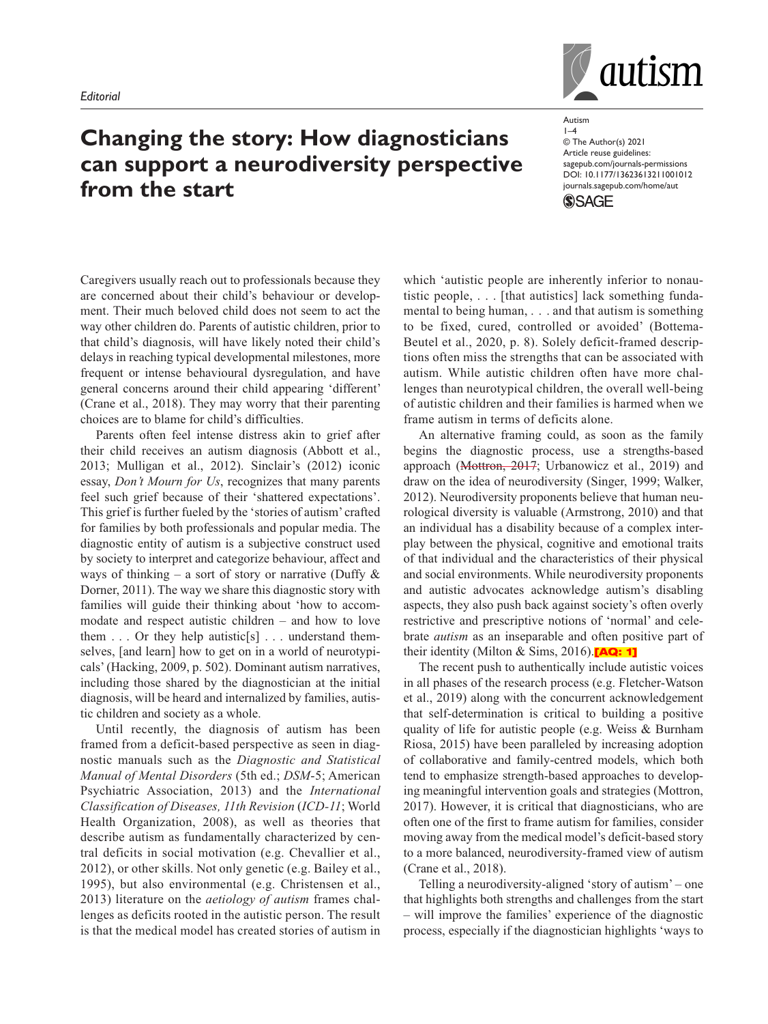## **Changing the story: How diagnosticians can support a neurodiversity perspective from the start**

Autism  $1-4$ © The Author(s) 2021 Article reuse guidelines: [sagepub.com/journals-permissions](https://uk.sagepub.com/en-gb/journals-permissions) DOI: 10.1177/13623613211001012 [journals.sagepub.com/home/aut](https://journals.sagepub.com/home/aut) **SSAGE** 

Caregivers usually reach out to professionals because they are concerned about their child's behaviour or development. Their much beloved child does not seem to act the way other children do. Parents of autistic children, prior to that child's diagnosis, will have likely noted their child's delays in reaching typical developmental milestones, more frequent or intense behavioural dysregulation, and have general concerns around their child appearing 'different' (Crane et al., 2018). They may worry that their parenting choices are to blame for child's difficulties.

Parents often feel intense distress akin to grief after their child receives an autism diagnosis (Abbott et al., 2013; Mulligan et al., 2012). Sinclair's (2012) iconic essay, *Don't Mourn for Us*, recognizes that many parents feel such grief because of their 'shattered expectations'. This grief is further fueled by the 'stories of autism' crafted for families by both professionals and popular media. The diagnostic entity of autism is a subjective construct used by society to interpret and categorize behaviour, affect and ways of thinking – a sort of story or narrative (Duffy  $\&$ Dorner, 2011). The way we share this diagnostic story with families will guide their thinking about 'how to accommodate and respect autistic children – and how to love them  $\ldots$  Or they help autistic[s]  $\ldots$  understand themselves, [and learn] how to get on in a world of neurotypicals' (Hacking, 2009, p. 502). Dominant autism narratives, including those shared by the diagnostician at the initial diagnosis, will be heard and internalized by families, autistic children and society as a whole.

Until recently, the diagnosis of autism has been framed from a deficit-based perspective as seen in diagnostic manuals such as the *Diagnostic and Statistical Manual of Mental Disorders* (5th ed.; *DSM*-5; American Psychiatric Association, 2013) and the *International Classification of Diseases, 11th Revision* (*ICD-11*; World Health Organization, 2008), as well as theories that describe autism as fundamentally characterized by central deficits in social motivation (e.g. Chevallier et al., 2012), or other skills. Not only genetic (e.g. Bailey et al., 1995), but also environmental (e.g. Christensen et al., 2013) literature on the *aetiology of autism* frames challenges as deficits rooted in the autistic person. The result is that the medical model has created stories of autism in which 'autistic people are inherently inferior to nonautistic people, . . . [that autistics] lack something fundamental to being human, . . . and that autism is something to be fixed, cured, controlled or avoided' (Bottema-Beutel et al., 2020, p. 8). Solely deficit-framed descriptions often miss the strengths that can be associated with autism. While autistic children often have more challenges than neurotypical children, the overall well-being of autistic children and their families is harmed when we frame autism in terms of deficits alone.

An alternative framing could, as soon as the family begins the diagnostic process, use a strengths-based approach (Mottron, 2017; Urbanowicz et al., 2019) and draw on the idea of neurodiversity (Singer, 1999; Walker, 2012). Neurodiversity proponents believe that human neurological diversity is valuable (Armstrong, 2010) and that an individual has a disability because of a complex interplay between the physical, cognitive and emotional traits of that individual and the characteristics of their physical and social environments. While neurodiversity proponents and autistic advocates acknowledge autism's disabling aspects, they also push back against society's often overly restrictive and prescriptive notions of 'normal' and celebrate *autism* as an inseparable and often positive part of their identity (Milton & Sims, 2016). $\Gamma$ AQ: 1]

The recent push to authentically include autistic voices in all phases of the research process (e.g. Fletcher-Watson et al., 2019) along with the concurrent acknowledgement that self-determination is critical to building a positive quality of life for autistic people (e.g. Weiss & Burnham Riosa, 2015) have been paralleled by increasing adoption of collaborative and family-centred models, which both tend to emphasize strength-based approaches to developing meaningful intervention goals and strategies (Mottron, 2017). However, it is critical that diagnosticians, who are often one of the first to frame autism for families, consider moving away from the medical model's deficit-based story to a more balanced, neurodiversity-framed view of autism (Crane et al., 2018).

Telling a neurodiversity-aligned 'story of autism' – one that highlights both strengths and challenges from the start – will improve the families' experience of the diagnostic process, especially if the diagnostician highlights 'ways to

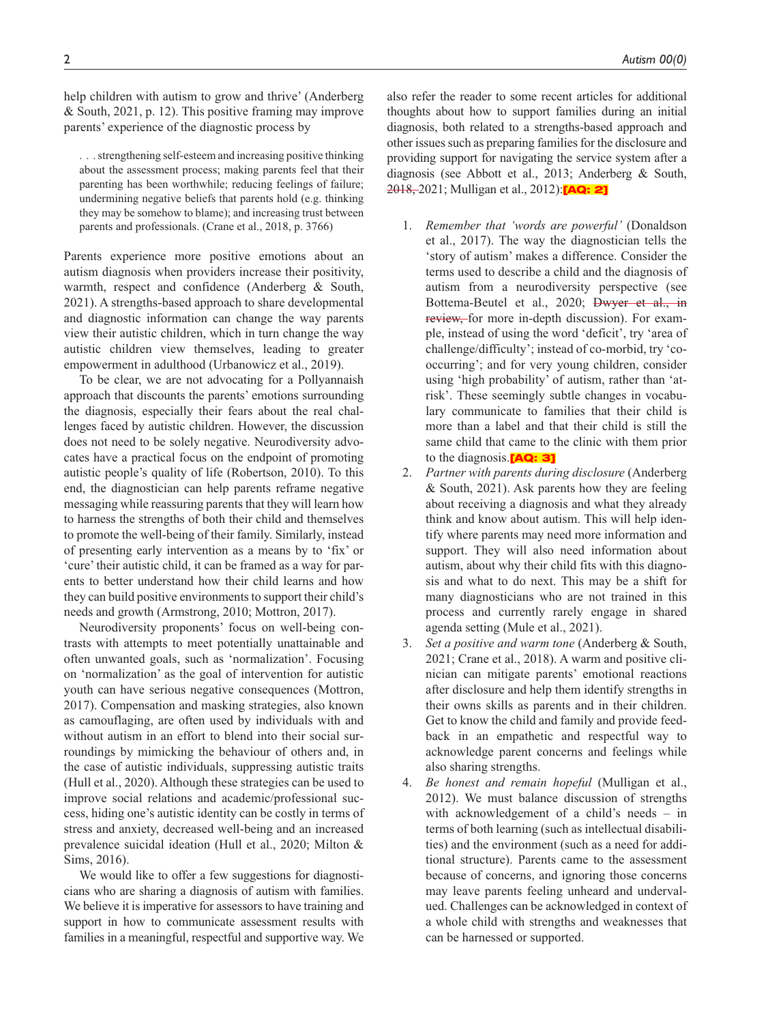help children with autism to grow and thrive' (Anderberg & South, 2021, p. 12). This positive framing may improve parents' experience of the diagnostic process by

. . . strengthening self-esteem and increasing positive thinking about the assessment process; making parents feel that their parenting has been worthwhile; reducing feelings of failure; undermining negative beliefs that parents hold (e.g. thinking they may be somehow to blame); and increasing trust between parents and professionals. (Crane et al., 2018, p. 3766)

Parents experience more positive emotions about an autism diagnosis when providers increase their positivity, warmth, respect and confidence (Anderberg & South, 2021). A strengths-based approach to share developmental and diagnostic information can change the way parents view their autistic children, which in turn change the way autistic children view themselves, leading to greater empowerment in adulthood (Urbanowicz et al., 2019).

To be clear, we are not advocating for a Pollyannaish approach that discounts the parents' emotions surrounding the diagnosis, especially their fears about the real challenges faced by autistic children. However, the discussion does not need to be solely negative. Neurodiversity advocates have a practical focus on the endpoint of promoting autistic people's quality of life (Robertson, 2010). To this end, the diagnostician can help parents reframe negative messaging while reassuring parents that they will learn how to harness the strengths of both their child and themselves to promote the well-being of their family. Similarly, instead of presenting early intervention as a means by to 'fix' or 'cure' their autistic child, it can be framed as a way for parents to better understand how their child learns and how they can build positive environments to support their child's needs and growth (Armstrong, 2010; Mottron, 2017).

Neurodiversity proponents' focus on well-being contrasts with attempts to meet potentially unattainable and often unwanted goals, such as 'normalization'. Focusing on 'normalization' as the goal of intervention for autistic youth can have serious negative consequences (Mottron, 2017). Compensation and masking strategies, also known as camouflaging, are often used by individuals with and without autism in an effort to blend into their social surroundings by mimicking the behaviour of others and, in the case of autistic individuals, suppressing autistic traits (Hull et al., 2020). Although these strategies can be used to improve social relations and academic/professional success, hiding one's autistic identity can be costly in terms of stress and anxiety, decreased well-being and an increased prevalence suicidal ideation (Hull et al., 2020; Milton & Sims, 2016).

We would like to offer a few suggestions for diagnosticians who are sharing a diagnosis of autism with families. We believe it is imperative for assessors to have training and support in how to communicate assessment results with families in a meaningful, respectful and supportive way. We

also refer the reader to some recent articles for additional thoughts about how to support families during an initial diagnosis, both related to a strengths-based approach and other issues such as preparing families for the disclosure and providing support for navigating the service system after a diagnosis (see Abbott et al., 2013; Anderberg & South, 2018, 2021; Mulligan et al., 2012): [AQ: 2]

- 1. *Remember that 'words are powerful'* (Donaldson et al., 2017). The way the diagnostician tells the 'story of autism' makes a difference. Consider the terms used to describe a child and the diagnosis of autism from a neurodiversity perspective (see Bottema-Beutel et al., 2020; Dwyer et al., in review, for more in-depth discussion). For example, instead of using the word 'deficit', try 'area of challenge/difficulty'; instead of co-morbid, try 'cooccurring'; and for very young children, consider using 'high probability' of autism, rather than 'atrisk'. These seemingly subtle changes in vocabulary communicate to families that their child is more than a label and that their child is still the same child that came to the clinic with them prior to the diagnosis. $[AQ: 3]$
- 2. *Partner with parents during disclosure* (Anderberg & South, 2021). Ask parents how they are feeling about receiving a diagnosis and what they already think and know about autism. This will help identify where parents may need more information and support. They will also need information about autism, about why their child fits with this diagnosis and what to do next. This may be a shift for many diagnosticians who are not trained in this process and currently rarely engage in shared agenda setting (Mule et al., 2021).
- 3. *Set a positive and warm tone* (Anderberg & South, 2021; Crane et al., 2018). A warm and positive clinician can mitigate parents' emotional reactions after disclosure and help them identify strengths in their owns skills as parents and in their children. Get to know the child and family and provide feedback in an empathetic and respectful way to acknowledge parent concerns and feelings while also sharing strengths.
- 4. *Be honest and remain hopeful* (Mulligan et al., 2012). We must balance discussion of strengths with acknowledgement of a child's needs – in terms of both learning (such as intellectual disabilities) and the environment (such as a need for additional structure). Parents came to the assessment because of concerns, and ignoring those concerns may leave parents feeling unheard and undervalued. Challenges can be acknowledged in context of a whole child with strengths and weaknesses that can be harnessed or supported.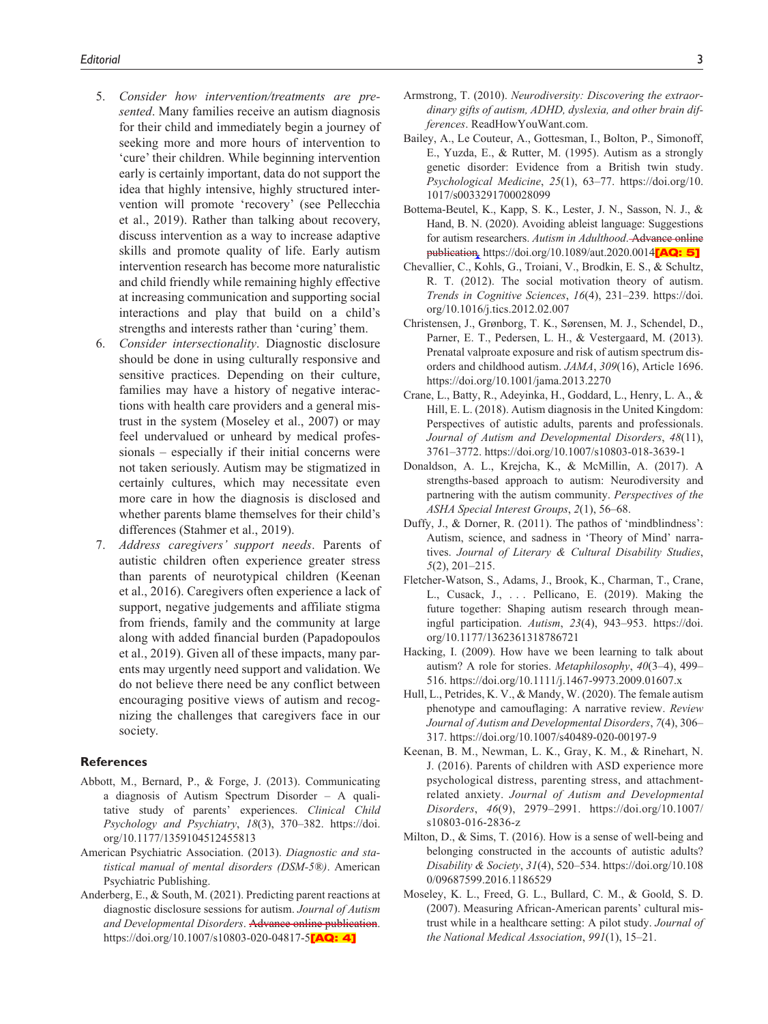- 5. *Consider how intervention/treatments are presented*. Many families receive an autism diagnosis for their child and immediately begin a journey of seeking more and more hours of intervention to 'cure' their children. While beginning intervention early is certainly important, data do not support the idea that highly intensive, highly structured intervention will promote 'recovery' (see Pellecchia et al., 2019). Rather than talking about recovery, discuss intervention as a way to increase adaptive skills and promote quality of life. Early autism intervention research has become more naturalistic and child friendly while remaining highly effective at increasing communication and supporting social interactions and play that build on a child's strengths and interests rather than 'curing' them.
- 6. *Consider intersectionality*. Diagnostic disclosure should be done in using culturally responsive and sensitive practices. Depending on their culture, families may have a history of negative interactions with health care providers and a general mistrust in the system (Moseley et al., 2007) or may feel undervalued or unheard by medical professionals – especially if their initial concerns were not taken seriously. Autism may be stigmatized in certainly cultures, which may necessitate even more care in how the diagnosis is disclosed and whether parents blame themselves for their child's differences (Stahmer et al., 2019).
- 7. *Address caregivers' support needs*. Parents of autistic children often experience greater stress than parents of neurotypical children (Keenan et al., 2016). Caregivers often experience a lack of support, negative judgements and affiliate stigma from friends, family and the community at large along with added financial burden (Papadopoulos et al., 2019). Given all of these impacts, many parents may urgently need support and validation. We do not believe there need be any conflict between encouraging positive views of autism and recognizing the challenges that caregivers face in our society.

## **References**

- Abbott, M., Bernard, P., & Forge, J. (2013). Communicating a diagnosis of Autism Spectrum Disorder – A qualitative study of parents' experiences. *Clinical Child Psychology and Psychiatry*, *18*(3), 370–382. [https://doi.](https://doi.org/10.1177/1359104512455813) [org/10.1177/1359104512455813](https://doi.org/10.1177/1359104512455813)
- American Psychiatric Association. (2013). *Diagnostic and statistical manual of mental disorders (DSM-5®)*. American Psychiatric Publishing.
- Anderberg, E., & South, M. (2021). Predicting parent reactions at diagnostic disclosure sessions for autism. *Journal of Autism and Developmental Disorders*. Advance online publication. <https://doi.org/10.1007/s10803-020-04817-5><sup>[AQ: 4]</sup>
- Armstrong, T. (2010). *Neurodiversity: Discovering the extraordinary gifts of autism, ADHD, dyslexia, and other brain differences*. ReadHowYouWant.com.
- Bailey, A., Le Couteur, A., Gottesman, I., Bolton, P., Simonoff, E., Yuzda, E., & Rutter, M. (1995). Autism as a strongly genetic disorder: Evidence from a British twin study. *Psychological Medicine*, *25*(1), 63–77. [https://doi.org/10.](https://doi.org/10.1017/s0033291700028099) [1017/s0033291700028099](https://doi.org/10.1017/s0033291700028099)
- Bottema-Beutel, K., Kapp, S. K., Lester, J. N., Sasson, N. J., & Hand, B. N. (2020). Avoiding ableist language: Suggestions for autism researchers. Autism in Adulthood. Advance online publication. <https://doi.org/10.1089/aut.2020.0014><sup>[AQ: 5]</sup>
- Chevallier, C., Kohls, G., Troiani, V., Brodkin, E. S., & Schultz, R. T. (2012). The social motivation theory of autism. *Trends in Cognitive Sciences*, *16*(4), 231–239. [https://doi.](https://doi.org/10.1016/j.tics.2012.02.007) [org/10.1016/j.tics.2012.02.007](https://doi.org/10.1016/j.tics.2012.02.007)
- Christensen, J., Grønborg, T. K., Sørensen, M. J., Schendel, D., Parner, E. T., Pedersen, L. H., & Vestergaard, M. (2013). Prenatal valproate exposure and risk of autism spectrum disorders and childhood autism. *JAMA*, *309*(16), Article 1696. <https://doi.org/10.1001/jama.2013.2270>
- Crane, L., Batty, R., Adeyinka, H., Goddard, L., Henry, L. A., & Hill, E. L. (2018). Autism diagnosis in the United Kingdom: Perspectives of autistic adults, parents and professionals. *Journal of Autism and Developmental Disorders*, *48*(11), 3761–3772.<https://doi.org/10.1007/s10803-018-3639-1>
- Donaldson, A. L., Krejcha, K., & McMillin, A. (2017). A strengths-based approach to autism: Neurodiversity and partnering with the autism community. *Perspectives of the ASHA Special Interest Groups*, *2*(1), 56–68.
- Duffy, J., & Dorner, R. (2011). The pathos of 'mindblindness': Autism, science, and sadness in 'Theory of Mind' narratives. *Journal of Literary & Cultural Disability Studies*, *5*(2), 201–215.
- Fletcher-Watson, S., Adams, J., Brook, K., Charman, T., Crane, L., Cusack, J., . . . Pellicano, E. (2019). Making the future together: Shaping autism research through meaningful participation. *Autism*, *23*(4), 943–953. [https://doi.](https://doi.org/10.1177/1362361318786721) [org/10.1177/1362361318786721](https://doi.org/10.1177/1362361318786721)
- Hacking, I. (2009). How have we been learning to talk about autism? A role for stories. *Metaphilosophy*, *40*(3–4), 499– 516.<https://doi.org/10.1111/j.1467-9973.2009.01607.x>
- Hull, L., Petrides, K. V., & Mandy, W. (2020). The female autism phenotype and camouflaging: A narrative review. *Review Journal of Autism and Developmental Disorders*, *7*(4), 306– 317.<https://doi.org/10.1007/s40489-020-00197-9>
- Keenan, B. M., Newman, L. K., Gray, K. M., & Rinehart, N. J. (2016). Parents of children with ASD experience more psychological distress, parenting stress, and attachmentrelated anxiety. *Journal of Autism and Developmental Disorders*, *46*(9), 2979–2991. [https://doi.org/10.1007/](https://doi.org/10.1007/s10803-016-2836-z) [s10803-016-2836-z](https://doi.org/10.1007/s10803-016-2836-z)
- Milton, D., & Sims, T. (2016). How is a sense of well-being and belonging constructed in the accounts of autistic adults? *Disability & Society*, *31*(4), 520–534. [https://doi.org/10.108](https://doi.org/10.1080/09687599.2016.1186529) [0/09687599.2016.1186529](https://doi.org/10.1080/09687599.2016.1186529)
- Moseley, K. L., Freed, G. L., Bullard, C. M., & Goold, S. D. (2007). Measuring African-American parents' cultural mistrust while in a healthcare setting: A pilot study. *Journal of the National Medical Association*, *991*(1), 15–21.